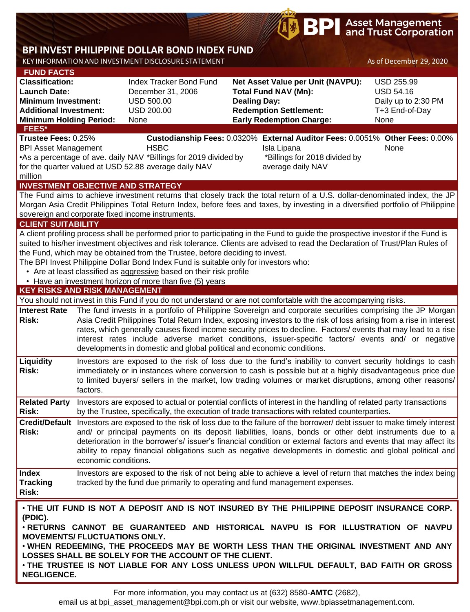# **BPI** Asset Management

## **BPI INVEST PHILIPPINE DOLLAR BOND INDEX FUND**

KEY INFORMATION AND INVESTMENT DISCLOSURE STATEMENT ASSETS A SOFT DECEMBER 29, 2020

| <b>FUND FACTS</b>                                                                     |                      |                                                                                      |                                                                                                                                                                                                                                      |                     |  |  |  |  |
|---------------------------------------------------------------------------------------|----------------------|--------------------------------------------------------------------------------------|--------------------------------------------------------------------------------------------------------------------------------------------------------------------------------------------------------------------------------------|---------------------|--|--|--|--|
| <b>Classification:</b>                                                                |                      | Index Tracker Bond Fund                                                              | Net Asset Value per Unit (NAVPU):                                                                                                                                                                                                    | <b>USD 255.99</b>   |  |  |  |  |
| <b>Launch Date:</b>                                                                   |                      | December 31, 2006                                                                    | <b>Total Fund NAV (Mn):</b>                                                                                                                                                                                                          | <b>USD 54.16</b>    |  |  |  |  |
| <b>Minimum Investment:</b>                                                            |                      | <b>USD 500.00</b>                                                                    | <b>Dealing Day:</b>                                                                                                                                                                                                                  | Daily up to 2:30 PM |  |  |  |  |
| <b>Additional Investment:</b>                                                         |                      | <b>USD 200.00</b>                                                                    | <b>Redemption Settlement:</b>                                                                                                                                                                                                        | T+3 End-of-Day      |  |  |  |  |
| <b>Minimum Holding Period:</b><br>FEES*                                               |                      | None                                                                                 | <b>Early Redemption Charge:</b>                                                                                                                                                                                                      | None                |  |  |  |  |
| Trustee Fees: 0.25%                                                                   |                      |                                                                                      | Custodianship Fees: 0.0320% External Auditor Fees: 0.0051% Other Fees: 0.00%                                                                                                                                                         |                     |  |  |  |  |
| <b>BPI Asset Management</b>                                                           |                      | <b>HSBC</b>                                                                          | Isla Lipana                                                                                                                                                                                                                          | None                |  |  |  |  |
|                                                                                       |                      | •As a percentage of ave. daily NAV *Billings for 2019 divided by                     | *Billings for 2018 divided by                                                                                                                                                                                                        |                     |  |  |  |  |
|                                                                                       |                      | for the quarter valued at USD 52.88 average daily NAV                                | average daily NAV                                                                                                                                                                                                                    |                     |  |  |  |  |
| million                                                                               |                      |                                                                                      |                                                                                                                                                                                                                                      |                     |  |  |  |  |
|                                                                                       |                      | <b>INVESTMENT OBJECTIVE AND STRATEGY</b>                                             |                                                                                                                                                                                                                                      |                     |  |  |  |  |
|                                                                                       |                      |                                                                                      | The Fund aims to achieve investment returns that closely track the total return of a U.S. dollar-denominated index, the JP                                                                                                           |                     |  |  |  |  |
|                                                                                       |                      |                                                                                      | Morgan Asia Credit Philippines Total Return Index, before fees and taxes, by investing in a diversified portfolio of Philippine                                                                                                      |                     |  |  |  |  |
| <b>CLIENT SUITABILITY</b>                                                             |                      | sovereign and corporate fixed income instruments.                                    |                                                                                                                                                                                                                                      |                     |  |  |  |  |
|                                                                                       |                      |                                                                                      | A client profiling process shall be performed prior to participating in the Fund to guide the prospective investor if the Fund is                                                                                                    |                     |  |  |  |  |
|                                                                                       |                      |                                                                                      | suited to his/her investment objectives and risk tolerance. Clients are advised to read the Declaration of Trust/Plan Rules of                                                                                                       |                     |  |  |  |  |
|                                                                                       |                      | the Fund, which may be obtained from the Trustee, before deciding to invest.         |                                                                                                                                                                                                                                      |                     |  |  |  |  |
|                                                                                       |                      | The BPI Invest Philippine Dollar Bond Index Fund is suitable only for investors who: |                                                                                                                                                                                                                                      |                     |  |  |  |  |
|                                                                                       |                      | • Are at least classified as aggressive based on their risk profile                  |                                                                                                                                                                                                                                      |                     |  |  |  |  |
|                                                                                       |                      | • Have an investment horizon of more than five (5) years                             |                                                                                                                                                                                                                                      |                     |  |  |  |  |
| <b>KEY RISKS AND RISK MANAGEMENT</b>                                                  |                      |                                                                                      |                                                                                                                                                                                                                                      |                     |  |  |  |  |
|                                                                                       |                      |                                                                                      | You should not invest in this Fund if you do not understand or are not comfortable with the accompanying risks.                                                                                                                      |                     |  |  |  |  |
| <b>Interest Rate</b>                                                                  |                      |                                                                                      | The fund invests in a portfolio of Philippine Sovereign and corporate securities comprising the JP Morgan                                                                                                                            |                     |  |  |  |  |
| <b>Risk:</b>                                                                          |                      |                                                                                      | Asia Credit Philippines Total Return Index, exposing investors to the risk of loss arising from a rise in interest<br>rates, which generally causes fixed income security prices to decline. Factors/ events that may lead to a rise |                     |  |  |  |  |
|                                                                                       |                      |                                                                                      | interest rates include adverse market conditions, issuer-specific factors/ events and/ or negative                                                                                                                                   |                     |  |  |  |  |
|                                                                                       |                      | developments in domestic and global political and economic conditions.               |                                                                                                                                                                                                                                      |                     |  |  |  |  |
| Liquidity                                                                             |                      |                                                                                      | Investors are exposed to the risk of loss due to the fund's inability to convert security holdings to cash                                                                                                                           |                     |  |  |  |  |
| <b>Risk:</b>                                                                          |                      |                                                                                      | immediately or in instances where conversion to cash is possible but at a highly disadvantageous price due                                                                                                                           |                     |  |  |  |  |
|                                                                                       |                      |                                                                                      | to limited buyers/ sellers in the market, low trading volumes or market disruptions, among other reasons/                                                                                                                            |                     |  |  |  |  |
|                                                                                       | factors.             |                                                                                      |                                                                                                                                                                                                                                      |                     |  |  |  |  |
| <b>Related Party</b>                                                                  |                      |                                                                                      | Investors are exposed to actual or potential conflicts of interest in the handling of related party transactions                                                                                                                     |                     |  |  |  |  |
| <b>Risk:</b>                                                                          |                      |                                                                                      | by the Trustee, specifically, the execution of trade transactions with related counterparties.                                                                                                                                       |                     |  |  |  |  |
|                                                                                       |                      |                                                                                      | Credit/Default Investors are exposed to the risk of loss due to the failure of the borrower/debt issuer to make timely interest                                                                                                      |                     |  |  |  |  |
| <b>Risk:</b>                                                                          |                      |                                                                                      | and/ or principal payments on its deposit liabilities, loans, bonds or other debt instruments due to a                                                                                                                               |                     |  |  |  |  |
|                                                                                       |                      |                                                                                      | deterioration in the borrower's/ issuer's financial condition or external factors and events that may affect its                                                                                                                     |                     |  |  |  |  |
|                                                                                       |                      |                                                                                      | ability to repay financial obligations such as negative developments in domestic and global political and                                                                                                                            |                     |  |  |  |  |
|                                                                                       | economic conditions. |                                                                                      |                                                                                                                                                                                                                                      |                     |  |  |  |  |
| <b>Index</b>                                                                          |                      |                                                                                      | Investors are exposed to the risk of not being able to achieve a level of return that matches the index being                                                                                                                        |                     |  |  |  |  |
| <b>Tracking</b>                                                                       |                      |                                                                                      | tracked by the fund due primarily to operating and fund management expenses.                                                                                                                                                         |                     |  |  |  |  |
| Risk:                                                                                 |                      |                                                                                      |                                                                                                                                                                                                                                      |                     |  |  |  |  |
|                                                                                       |                      |                                                                                      | . THE UIT FUND IS NOT A DEPOSIT AND IS NOT INSURED BY THE PHILIPPINE DEPOSIT INSURANCE CORP.                                                                                                                                         |                     |  |  |  |  |
| (PDIC).                                                                               |                      |                                                                                      |                                                                                                                                                                                                                                      |                     |  |  |  |  |
|                                                                                       |                      |                                                                                      | . RETURNS CANNOT BE GUARANTEED AND HISTORICAL NAVPU IS FOR ILLUSTRATION OF NAVPU                                                                                                                                                     |                     |  |  |  |  |
| <b>MOVEMENTS/ FLUCTUATIONS ONLY.</b>                                                  |                      |                                                                                      |                                                                                                                                                                                                                                      |                     |  |  |  |  |
| . WHEN REDEEMING, THE PROCEEDS MAY BE WORTH LESS THAN THE ORIGINAL INVESTMENT AND ANY |                      |                                                                                      |                                                                                                                                                                                                                                      |                     |  |  |  |  |

**LOSSES SHALL BE SOLELY FOR THE ACCOUNT OF THE CLIENT.** • **THE TRUSTEE IS NOT LIABLE FOR ANY LOSS UNLESS UPON WILLFUL DEFAULT, BAD FAITH OR GROSS NEGLIGENCE.**

For more information, you may contact us at (632) 8580-**AMTC** (2682),

email us at bpi\_asset\_management@bpi.com.ph or visit our website, www.bpiassetmanagement.com.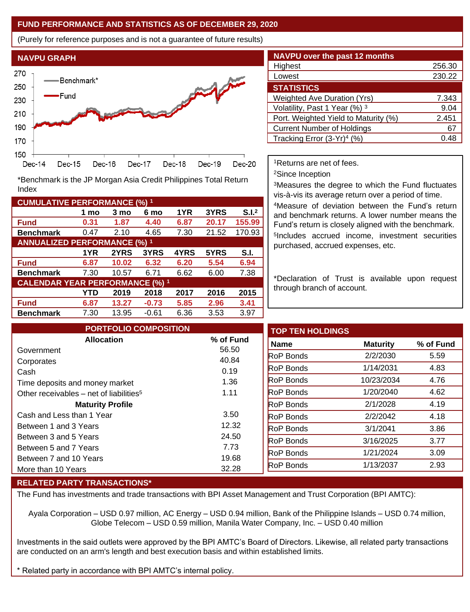#### **FUND PERFORMANCE AND STATISTICS AS OF DECEMBER 29, 2020**

(Purely for reference purposes and is not a guarantee of future results)



**Fund 0.31 1.87 4.40 6.87 20.17 155.99 Benchmark** 0.47 2.10 4.65 7.30 21.52 170.93

\*Benchmark is the JP Morgan Asia Credit Philippines Total Return

**Fund 6.87 10.02 6.32 6.20 5.54 6.94 Benchmark** 7.30 10.57 6.71 6.62 6.00 7.38

**Fund 6.87 13.27 -0.73 5.85 2.96 3.41 Benchmark** 7.30 13.95 -0.61 6.36 3.53 3.97

**1 mo 3 mo 6 mo 1YR 3YRS S.I.<sup>2</sup>**

**1YR 2YRS 3YRS 4YRS 5YRS S.I.**

**YTD 2019 2018 2017 2016 2015**

| <b>NAVPU over the past 12 months</b>   |        |
|----------------------------------------|--------|
| Highest                                | 256.30 |
| Lowest                                 | 230.22 |
| <b>STATISTICS</b>                      |        |
| <b>Weighted Ave Duration (Yrs)</b>     | 7.343  |
| Volatility, Past 1 Year (%) 3          | 9.04   |
| Port. Weighted Yield to Maturity (%)   | 2.451  |
| <b>Current Number of Holdings</b>      | 67     |
| Tracking Error (3-Yr) <sup>4</sup> (%) | () 48  |

<sup>1</sup>Returns are net of fees.

<sup>2</sup>Since Inception

<sup>3</sup>Measures the degree to which the Fund fluctuates vis-à-vis its average return over a period of time.

<sup>4</sup>Measure of deviation between the Fund's return and benchmark returns. A lower number means the Fund's return is closely aligned with the benchmark. 5 Includes accrued income, investment securities purchased, accrued expenses, etc.

\*Declaration of Trust is available upon request through branch of account.

| <b>PORTFOLIO COMPOSITION</b>                        |                | <b>TOP TEN HOLDINGS</b> |                 |
|-----------------------------------------------------|----------------|-------------------------|-----------------|
| <b>Allocation</b>                                   | % of Fund      | <b>Name</b>             | <b>Maturity</b> |
| Government                                          | 56.50          | <b>RoP Bonds</b>        | 2/2/2030        |
| Corporates                                          | 40.84<br>0.19  | <b>RoP Bonds</b>        | 1/14/2031       |
| Cash<br>Time deposits and money market              | 1.36           | <b>RoP Bonds</b>        | 10/23/2034      |
| Other receivables – net of liabilities <sup>5</sup> | 1.11           | <b>RoP Bonds</b>        | 1/20/2040       |
| <b>Maturity Profile</b>                             |                | <b>RoP Bonds</b>        | 2/1/2028        |
| Cash and Less than 1 Year                           | 3.50           | <b>RoP Bonds</b>        | 2/2/2042        |
| Between 1 and 3 Years                               | 12.32          | <b>RoP Bonds</b>        | 3/1/2041        |
| Between 3 and 5 Years                               | 24.50          | <b>RoP Bonds</b>        | 3/16/2025       |
| Between 5 and 7 Years                               | 7.73           | <b>RoP Bonds</b>        | 1/21/2024       |
| Between 7 and 10 Years                              | 19.68<br>32.28 | <b>RoP Bonds</b>        | 1/13/2037       |
| More than 10 Years                                  |                |                         |                 |

#### **RELATED PARTY TRANSACTIONS\***

**CUMULATIVE PERFORMANCE (%) <sup>1</sup>**

Index

**ANNUALIZED PERFORMANCE (%) <sup>1</sup>**

**CALENDAR YEAR PERFORMANCE (%) <sup>1</sup>**

The Fund has investments and trade transactions with BPI Asset Management and Trust Corporation (BPI AMTC):

Ayala Corporation – USD 0.97 million, AC Energy – USD 0.94 million, Bank of the Philippine Islands – USD 0.74 million, Globe Telecom – USD 0.59 million, Manila Water Company, Inc. – USD 0.40 million

Investments in the said outlets were approved by the BPI AMTC's Board of Directors. Likewise, all related party transactions are conducted on an arm's length and best execution basis and within established limits.

Related party in accordance with BPI AMTC's internal policy.